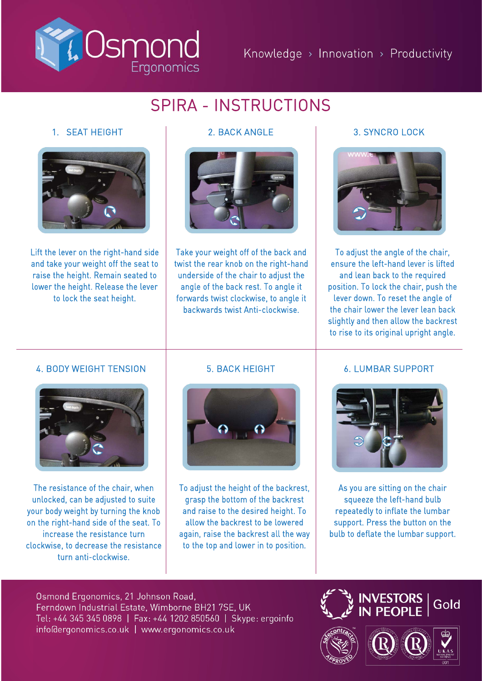

# SPIRA - INSTRUCTIONS

## 1. SEAT HEIGHT



Lift the lever on the right-hand side and take your weight off the seat to raise the height. Remain seated to lower the height. Release the lever to lock the seat height.



Take your weight off of the back and twist the rear knob on the right-hand underside of the chair to adjust the angle of the back rest. To angle it forwards twist clockwise, to angle it backwards twist Anti-clockwise.

## 2. BACK ANGLE 3. SYNCRO LOCK



To adjust the angle of the chair, ensure the left-hand lever is lifted and lean back to the required position. To lock the chair, push the lever down. To reset the angle of the chair lower the lever lean back slightly and then allow the backrest to rise to its original upright angle.

## 4. BODY WEIGHT TENSION



The resistance of the chair, when unlocked, can be adjusted to suite your body weight by turning the knob on the right-hand side of the seat. To increase the resistance turn clockwise, to decrease the resistance turn anti-clockwise.

## 5. BACK HEIGHT



To adjust the height of the backrest, grasp the bottom of the backrest and raise to the desired height. To allow the backrest to be lowered again, raise the backrest all the way to the top and lower in to position.

## 6. LUMBAR SUPPORT



As you are sitting on the chair squeeze the left-hand bulb repeatedly to inflate the lumbar support. Press the button on the bulb to deflate the lumbar support.

Osmond Ergonomics, 21 Johnson Road, Ferndown Industrial Estate, Wimborne BH21 7SE, UK Tel: +44 345 345 0898 | Fax: +44 1202 850560 | Skype: ergoinfo info@ergonomics.co.uk | www.ergonomics.co.uk